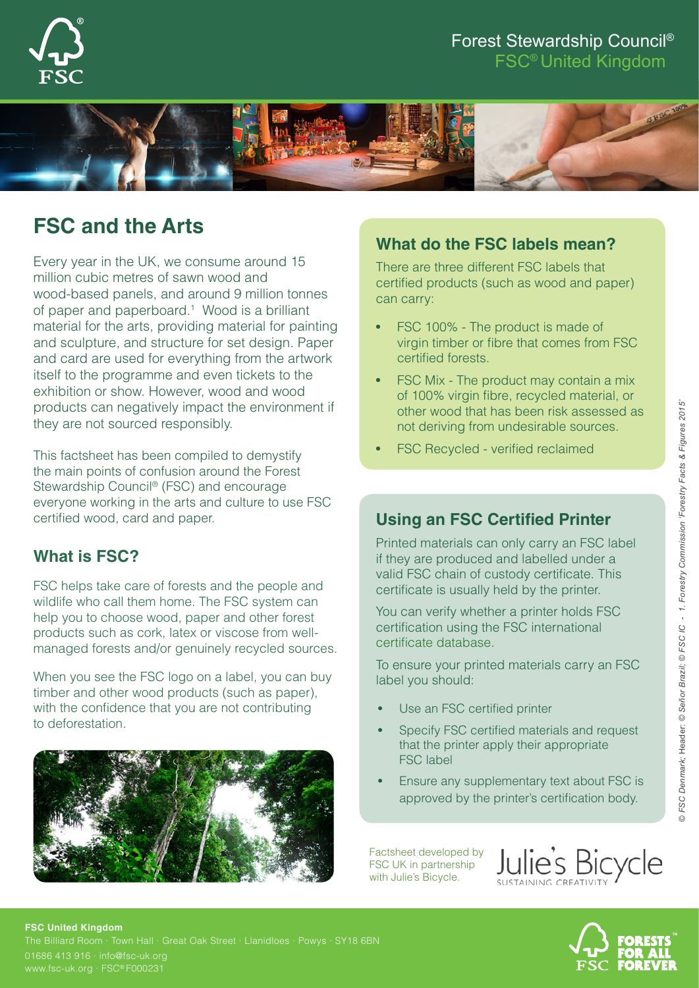

## Forest Stewardship Council® FSC® United Kingdom



# **FSC and the Arts**

Every year in the UK, we consume around 15 million cubic metres of sawn wood and wood-based panels, and around 9 million tonnes of paper and paperboard.<sup>1</sup> Wood is a brilliant material for the arts, providing material for painting and sculpture, and structure for set design. Paper and card are used for everything from the artwork itself to the programme and even tickets to the exhibition or show. However, wood and wood products can negatively impact the environment if they are not sourced responsibly.

This factsheet has been compiled to demystify the main points of confusion around the Forest Stewardship Council® (FSC) and encourage everyone working in the arts and culture to use FSC certified wood, card and paper.

# **What is FSC?**

FSC helps take care of forests and the people and wildlife who call them home. The FSC system can help you to choose wood, paper and other forest products such as cork, latex or viscose from wellmanaged forests and/or genuinely recycled sources.

When you see the FSC logo on a label, you can buy timber and other wood products (such as paper), with the confidence that you are not contributing to deforestation.



# **What do the FSC labels mean?**

There are three different FSC labels that certified products (such as wood and paper) can carry:

- FSC 100% The product is made of virgin timber or fibre that comes from FSC certified forests.
- FSC Mix The product may contain a mix of 100% virgin fibre, recycled material, or other wood that has been risk assessed as not deriving from undesirable sources.
- FSC Recycled verified reclaimed

# **Using an FSC Certified Printer**

Printed materials can only carry an FSC label if they are produced and labelled under a valid FSC chain of custody certificate. This certificate is usually held by the printer.

You can verify whether a printer holds FSC certification using the FSC international [certificate database](http://info.fsc.org/).

To ensure your printed materials carry an FSC label you should:

- Use an FSC certified printer
- Specify FSC certified materials and request that the printer apply their appropriate FSC label
- Ensure any supplementary text about FSC is approved by the printer's certification body.

Factsheet developed by FSC UK in partnership with Julie's Bicycle.